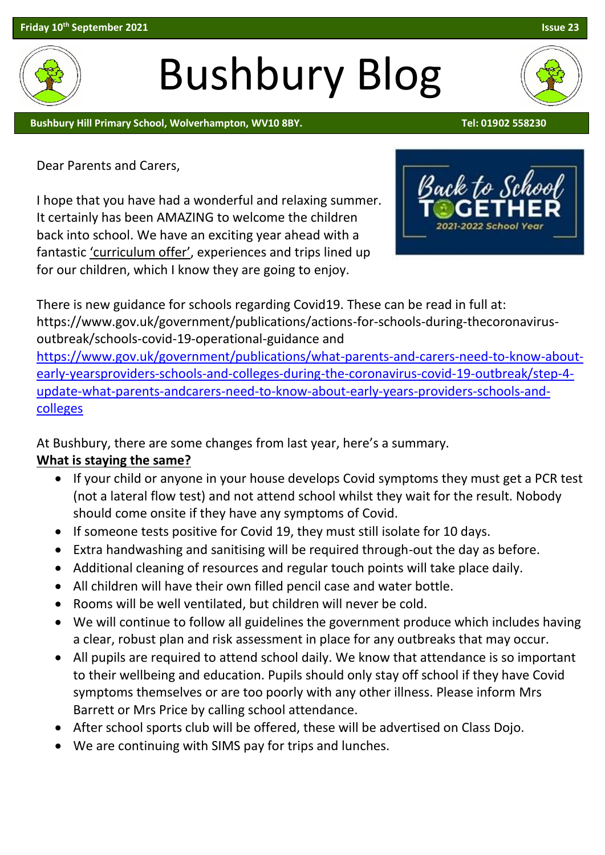# Bushbury Blog

Bushbury Hill Primary School, Wolverhampton, WV10 8BY. The Contract of the Contract of the Contract of the Contra

Dear Parents and Carers,

I hope that you have had a wonderful and relaxing summer. It certainly has been AMAZING to welcome the children back into school. We have an exciting year ahead with a fantastic 'curriculum offer', experiences and trips lined up for our children, which I know they are going to enjoy.

There is new guidance for schools regarding Covid19. These can be read in full at: https://www.gov.uk/government/publications/actions-for-schools-during-thecoronavirusoutbreak/schools-covid-19-operational-guidance and [https://www.gov.uk/government/publications/what-parents-and-carers-need-to-know-about](https://www.gov.uk/government/publications/what-parents-and-carers-need-to-know-about-early-yearsproviders-schools-and-colleges-during-the-coronavirus-covid-19-outbreak/step-4-update-what-parents-andcarers-need-to-know-about-early-years-providers-schools-and-colleges)[early-yearsproviders-schools-and-colleges-during-the-coronavirus-covid-19-outbreak/step-4](https://www.gov.uk/government/publications/what-parents-and-carers-need-to-know-about-early-yearsproviders-schools-and-colleges-during-the-coronavirus-covid-19-outbreak/step-4-update-what-parents-andcarers-need-to-know-about-early-years-providers-schools-and-colleges) [update-what-parents-andcarers-need-to-know-about-early-years-providers-schools-and-](https://www.gov.uk/government/publications/what-parents-and-carers-need-to-know-about-early-yearsproviders-schools-and-colleges-during-the-coronavirus-covid-19-outbreak/step-4-update-what-parents-andcarers-need-to-know-about-early-years-providers-schools-and-colleges)

At Bushbury, there are some changes from last year, here's a summary.

## **What is staying the same?**

[colleges](https://www.gov.uk/government/publications/what-parents-and-carers-need-to-know-about-early-yearsproviders-schools-and-colleges-during-the-coronavirus-covid-19-outbreak/step-4-update-what-parents-andcarers-need-to-know-about-early-years-providers-schools-and-colleges)

- If your child or anyone in your house develops Covid symptoms they must get a PCR test (not a lateral flow test) and not attend school whilst they wait for the result. Nobody should come onsite if they have any symptoms of Covid.
- If someone tests positive for Covid 19, they must still isolate for 10 days.
- Extra handwashing and sanitising will be required through-out the day as before.
- Additional cleaning of resources and regular touch points will take place daily.
- All children will have their own filled pencil case and water bottle.
- Rooms will be well ventilated, but children will never be cold.
- We will continue to follow all guidelines the government produce which includes having a clear, robust plan and risk assessment in place for any outbreaks that may occur.
- All pupils are required to attend school daily. We know that attendance is so important to their wellbeing and education. Pupils should only stay off school if they have Covid symptoms themselves or are too poorly with any other illness. Please inform Mrs Barrett or Mrs Price by calling school attendance.
- After school sports club will be offered, these will be advertised on Class Dojo.
- We are continuing with SIMS pay for trips and lunches.



Back to Sc

2021-2022 School

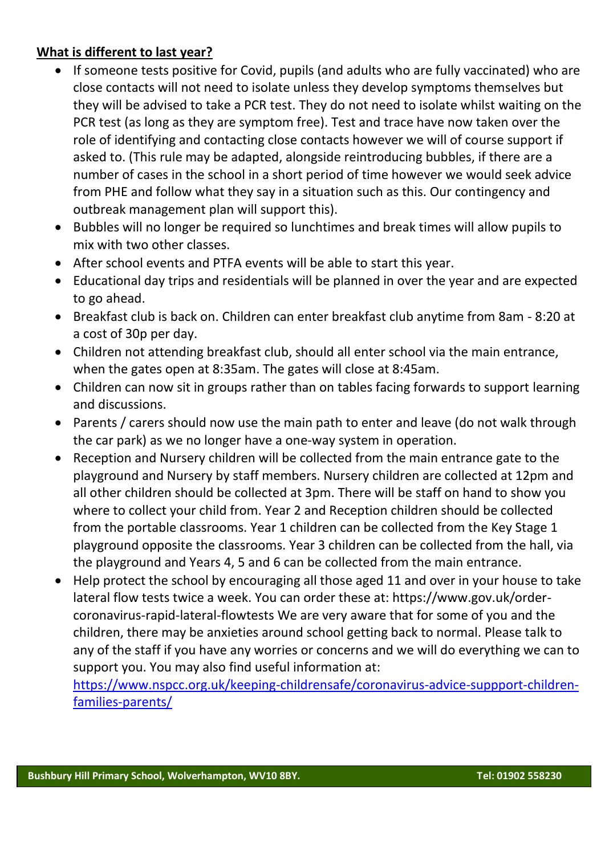## **What is different to last year?**

- If someone tests positive for Covid, pupils (and adults who are fully vaccinated) who are close contacts will not need to isolate unless they develop symptoms themselves but they will be advised to take a PCR test. They do not need to isolate whilst waiting on the PCR test (as long as they are symptom free). Test and trace have now taken over the role of identifying and contacting close contacts however we will of course support if asked to. (This rule may be adapted, alongside reintroducing bubbles, if there are a number of cases in the school in a short period of time however we would seek advice from PHE and follow what they say in a situation such as this. Our contingency and outbreak management plan will support this).
- Bubbles will no longer be required so lunchtimes and break times will allow pupils to mix with two other classes.
- After school events and PTFA events will be able to start this year.
- Educational day trips and residentials will be planned in over the year and are expected to go ahead.
- Breakfast club is back on. Children can enter breakfast club anytime from 8am 8:20 at a cost of 30p per day.
- Children not attending breakfast club, should all enter school via the main entrance, when the gates open at 8:35am. The gates will close at 8:45am.
- Children can now sit in groups rather than on tables facing forwards to support learning and discussions.
- Parents / carers should now use the main path to enter and leave (do not walk through the car park) as we no longer have a one-way system in operation.
- Reception and Nursery children will be collected from the main entrance gate to the playground and Nursery by staff members. Nursery children are collected at 12pm and all other children should be collected at 3pm. There will be staff on hand to show you where to collect your child from. Year 2 and Reception children should be collected from the portable classrooms. Year 1 children can be collected from the Key Stage 1 playground opposite the classrooms. Year 3 children can be collected from the hall, via the playground and Years 4, 5 and 6 can be collected from the main entrance.
- Help protect the school by encouraging all those aged 11 and over in your house to take lateral flow tests twice a week. You can order these at: https://www.gov.uk/ordercoronavirus-rapid-lateral-flowtests We are very aware that for some of you and the children, there may be anxieties around school getting back to normal. Please talk to any of the staff if you have any worries or concerns and we will do everything we can to support you. You may also find useful information at:

[https://www.nspcc.org.uk/keeping-childrensafe/coronavirus-advice-suppport-children](https://www.nspcc.org.uk/keeping-childrensafe/coronavirus-advice-suppport-children-families-parents/)[families-parents/](https://www.nspcc.org.uk/keeping-childrensafe/coronavirus-advice-suppport-children-families-parents/)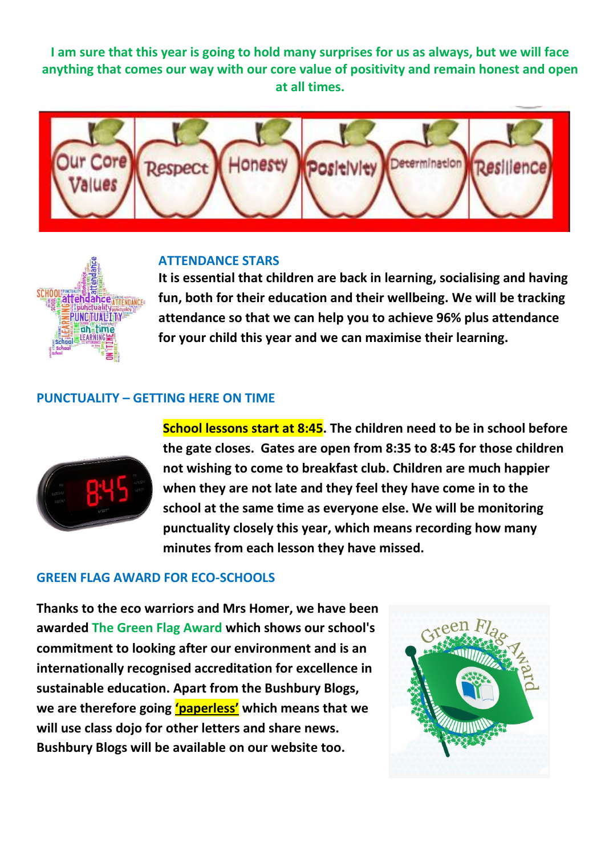**I am sure that this year is going to hold many surprises for us as always, but we will face anything that comes our way with our core value of positivity and remain honest and open at all times.**



#### **ATTENDANCE STARS**



**It is essential that children are back in learning, socialising and having fun, both for their education and their wellbeing. We will be tracking attendance so that we can help you to achieve 96% plus attendance for your child this year and we can maximise their learning.** 

#### **PUNCTUALITY – GETTING HERE ON TIME**



**School lessons start at 8:45. The children need to be in school before the gate closes. Gates are open from 8:35 to 8:45 for those children not wishing to come to breakfast club. Children are much happier when they are not late and they feel they have come in to the school at the same time as everyone else. We will be monitoring punctuality closely this year, which means recording how many minutes from each lesson they have missed.** 

#### **GREEN FLAG AWARD FOR ECO-SCHOOLS**

**Thanks to the eco warriors and Mrs Homer, we have been awarded The Green Flag Award which shows our school's commitment to looking after our environment and is an internationally recognised accreditation for excellence in sustainable education. Apart from the Bushbury Blogs, we are therefore going 'paperless' which means that we will use class dojo for other letters and share news. Bushbury Blogs will be available on our website too.** 

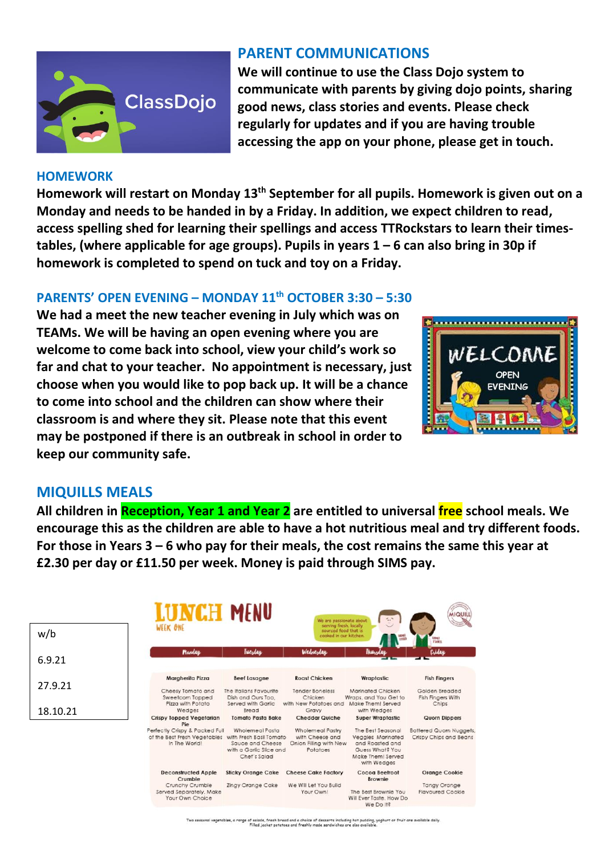

#### **HOMEWORK**

**PARENT COMMUNICATIONS**

**We will continue to use the Class Dojo system to communicate with parents by giving dojo points, sharing good news, class stories and events. Please check regularly for updates and if you are having trouble accessing the app on your phone, please get in touch.**

**Homework will restart on Monday 13th September for all pupils. Homework is given out on a Monday and needs to be handed in by a Friday. In addition, we expect children to read, access spelling shed for learning their spellings and access TTRockstars to learn their timestables, (where applicable for age groups). Pupils in years 1 – 6 can also bring in 30p if homework is completed to spend on tuck and toy on a Friday.** 

### **PARENTS' OPEN EVENING – MONDAY 11th OCTOBER 3:30 – 5:30**

**We had a meet the new teacher evening in July which was on TEAMs. We will be having an open evening where you are welcome to come back into school, view your child's work so far and chat to your teacher. No appointment is necessary, just choose when you would like to pop back up. It will be a chance to come into school and the children can show where their classroom is and where they sit. Please note that this event may be postponed if there is an outbreak in school in order to keep our community safe.** 



#### **MIQUILLS MEALS**

**All children in Reception, Year 1 and Year 2 are entitled to universal free school meals. We encourage this as the children are able to have a hot nutritious meal and try different foods. For those in Years 3 – 6 who pay for their meals, the cost remains the same this year at £2.30 per day or £11.50 per week. Money is paid through SIMS pay.**

| w/b      |  |
|----------|--|
| 6.9.21   |  |
| 27.9.21  |  |
| 18.10.21 |  |



Two seasonal vegetables, a range of salads, fresh bread and a choice of desserts including hot pudding, yaghurt or fruit are available daily<br>Filled jacket potatoes and freshly made sandwiches are also available.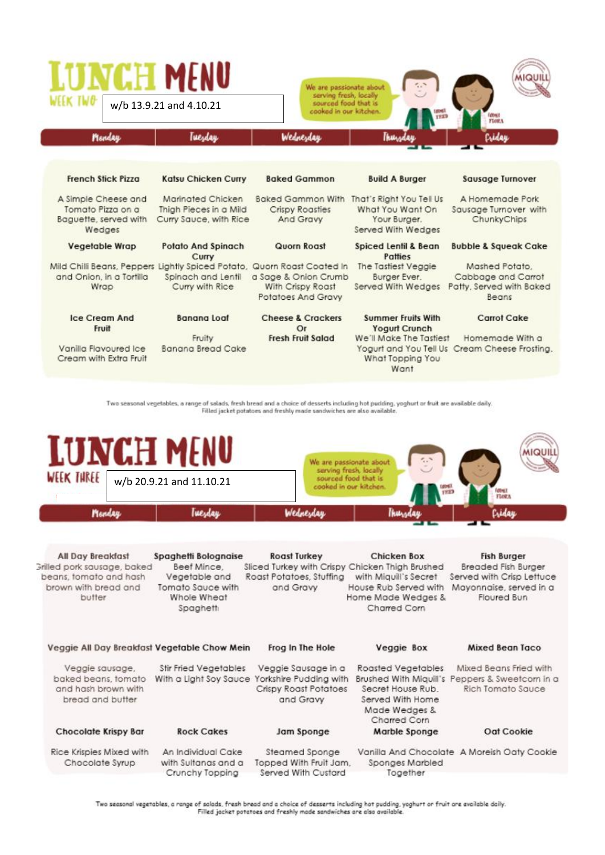| <b>LUNCH MENU</b>                                                                                           | w/b 13.9.21 and 4.10.21                                               | We are passionate about<br>serving fresh, locally<br>sourced food that is<br>cooked in our kitchen. |                                                                                    | <b>FLORA</b>                                                              |
|-------------------------------------------------------------------------------------------------------------|-----------------------------------------------------------------------|-----------------------------------------------------------------------------------------------------|------------------------------------------------------------------------------------|---------------------------------------------------------------------------|
| Menday                                                                                                      | <b><i><u>Tuesday</u></i></b>                                          | Wednesday                                                                                           | Thurs                                                                              | Cridau                                                                    |
| <b>French Stick Pizza</b>                                                                                   | <b>Katsu Chicken Curry</b>                                            | <b>Baked Gammon</b>                                                                                 | <b>Build A Burger</b>                                                              | Sausage Turnover                                                          |
| A Simple Cheese and<br>Tomato Pizza on a<br>Baguette, served with<br>Wedges                                 | Marinated Chicken<br>Thigh Pieces in a Mild<br>Curry Sauce, with Rice | <b>Baked Gammon With</b><br>Crispy Roasties<br>And Gravy                                            | That's Right You Tell Us<br>What You Want On<br>Your Burger.<br>Served With Wedges | A Homemade Pork<br>Sausage Turnover with<br>ChunkyChips                   |
| <b>Vegetable Wrap</b>                                                                                       | <b>Potato And Spinach</b><br>Curry                                    | Quorn Roast                                                                                         | Spiced Lentil & Bean<br>Patties                                                    | <b>Bubble &amp; Squeak Cake</b>                                           |
| Mild Chilli Beans, Peppers Lightly Spiced Potato, Quorn Roast Coated In<br>and Onion, in a Tortilla<br>Wrap | Spinach and Lentil<br>Curry with Rice                                 | a Sage & Onion Crumb<br>With Crispy Roast<br><b>Potatoes And Gravy</b>                              | The Tastiest Veggie<br>Burger Ever.<br>Served With Wedges                          | Mashed Potato.<br>Cabbage and Carrot<br>Patty, Served with Baked<br>Beans |
| Ice Cream And<br>Fruit                                                                                      | Banana Loaf                                                           | <b>Cheese &amp; Crackers</b><br>Or                                                                  | <b>Summer Fruits With</b><br><b>Yogurt Crunch</b>                                  | Carrot Cake                                                               |
| Vanilla Flavoured Ice<br>Cream with Extra Fruit                                                             | Fruity<br>Banana Bread Cake                                           | <b>Fresh Fruit Salad</b>                                                                            | We'll Make The Tastiest<br>What Topping You<br>Want                                | Homemade With a<br>Yogurt and You Tell Us Cream Cheese Frosting.          |

Two seasonal vegetables, a range of salads, fresh bread and a choice of desserts including hot pudding, yoghurt or fruit are available daily.<br>Filled jacket potatoes and freshly made sandwiches are also available.



| <b>All Day Breakfast</b><br>Grilled pork sausage, baked<br>beans, tomato and hash<br>brown with bread and<br>butter | Spaghetti Bolognaise<br>Beef Mince.<br>Vegetable and<br>Tomato Sauce with<br>Whole Wheat<br>Spaghetti | <b>Roast Turkey</b><br>Sliced Turkey with Crispy Chicken Thigh Brushed<br>Roast Potatoes, Stuffing<br>and Graw | Chicken Box<br>with Miguill's Secret<br>House Rub Served with<br>Home Made Wedges &<br>Charred Corn | <b>Fish Burger</b><br>Breaded Fish Burger<br>Served with Crisp Lettuce<br>Mayonnaise, served in a<br>Floured Bun |
|---------------------------------------------------------------------------------------------------------------------|-------------------------------------------------------------------------------------------------------|----------------------------------------------------------------------------------------------------------------|-----------------------------------------------------------------------------------------------------|------------------------------------------------------------------------------------------------------------------|
| Veggie All Day Breakfast Vegetable Chow Mein                                                                        |                                                                                                       | Frog In The Hole                                                                                               | Veggie Box                                                                                          | Mixed Bean Taco                                                                                                  |
| Veggie sausage,<br>baked beans, tomato<br>and hash brown with<br>bread and butter                                   | <b>Stir Fried Vegetables</b>                                                                          | Veggie Sausage in a<br>With a Light Soy Sauce Yorkshire Pudding with<br>Crispy Roast Potatoes<br>and Gravy     | Roasted Vegetables<br>Secret House Rub.<br>Served With Home<br>Made Wedges &<br>Charred Corn        | Mixed Beans Fried with<br>Brushed With Miguill's Peppers & Sweetcorn in a<br>Rich Tomato Sauce                   |
| <b>Chocolate Krispy Bar</b>                                                                                         | <b>Rock Cakes</b>                                                                                     | Jam Sponge                                                                                                     | Marble Sponge                                                                                       | Oat Cookie                                                                                                       |
| Rice Krispies Mixed with<br>Chocolate Syrup                                                                         | An Individual Cake<br>with Sultanas and a<br>Crunchy Topping                                          | Steamed Sponge<br>Topped With Fruit Jam,<br>Served With Custard                                                | Sponges Marbled<br>Together                                                                         | Vanilla And Chocolate A Moreish Oaty Cookie                                                                      |

Two seasonal vegetables, a range of salads, fresh bread and a choice of desserts including hot pudding, yoghurt or fruit are available daily.<br>Filled jacket potatoes and freshly made sandwiches are also available.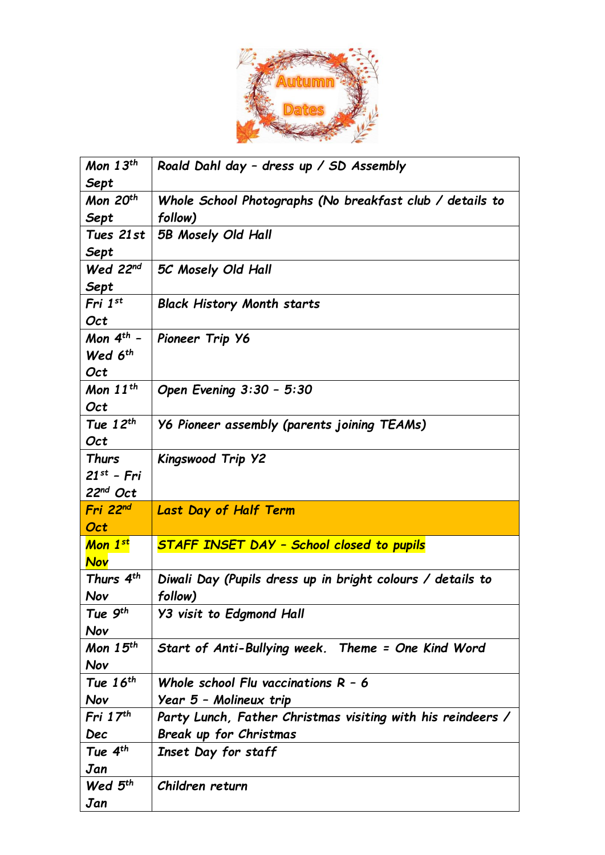

| Mon $13^{th}$        | Roald Dahl day - dress up / SD Assembly                     |
|----------------------|-------------------------------------------------------------|
| Sept                 |                                                             |
| Mon 20 <sup>th</sup> | Whole School Photographs (No breakfast club / details to    |
| Sept                 | follow)                                                     |
| Tues 21st            | 5B Mosely Old Hall                                          |
| Sept                 |                                                             |
| Wed $22nd$           | 5C Mosely Old Hall                                          |
| Sept                 |                                                             |
| Fri 1 <sup>st</sup>  | <b>Black History Month starts</b>                           |
| Oct                  |                                                             |
| Mon $4^{th}$ -       | Pioneer Trip Y6                                             |
| Wed 6 <sup>th</sup>  |                                                             |
| Oct                  |                                                             |
| Mon $11^{th}$        | Open Evening 3:30 - 5:30                                    |
| Oct                  |                                                             |
| Tue $12^{th}$        | Y6 Pioneer assembly (parents joining TEAMs)                 |
| Oct                  |                                                             |
| <b>Thurs</b>         | Kingswood Trip Y2                                           |
| $21^{st}$ - Fri      |                                                             |
|                      |                                                             |
| $22nd$ Oct           |                                                             |
| Fri 22 <sup>nd</sup> | <b>Last Day of Half Term</b>                                |
| Oct                  |                                                             |
| Mon 1st              | <b>STAFF INSET DAY - School closed to pupils</b>            |
| <b>Nov</b>           |                                                             |
| Thurs $4^{th}$       | Diwali Day (Pupils dress up in bright colours / details to  |
| Nov                  | follow)                                                     |
| Tue $9^{th}$         | <b>Y3 visit to Edgmond Hall</b>                             |
| Nov                  |                                                             |
| Mon $15th$           | Start of Anti-Bullying week. Theme = One Kind Word          |
| Nov                  |                                                             |
| Tue $16^{th}$        | Whole school Flu vaccinations $R - 6$                       |
| Nov                  | Year 5 - Molineux trip                                      |
| Fri $17th$           | Party Lunch, Father Christmas visiting with his reindeers / |
| Dec                  | Break up for Christmas                                      |
| Tue $4^{th}$         | Inset Day for staff                                         |
| Jan                  |                                                             |
| Wed $5th$            | Children return                                             |